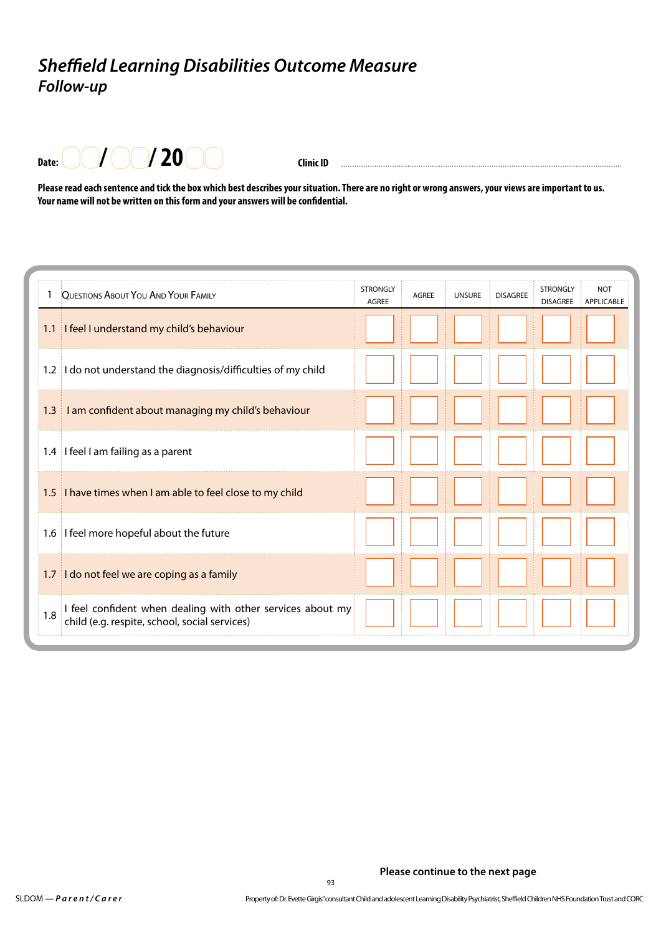## *Sheffield Learning Disabilities Outcome Measure Follow-up*



**Clinic ID** 

**Please read each sentence and tick the box which best describes your situation. There are no right or wrong answers, your views are important to us. Your name will not be written on this form and your answers will be confidential.**

|     | QUESTIONS ABOUT YOU AND YOUR FAMILY                                                                         | <b>STRONGLY</b><br><b>AGREE</b> | <b>AGREE</b> | <b>UNSURE</b> | <b>DISAGREE</b> | <b>STRONGLY</b><br><b>DISAGREE</b> | <b>NOT</b><br>APPLICABLE |
|-----|-------------------------------------------------------------------------------------------------------------|---------------------------------|--------------|---------------|-----------------|------------------------------------|--------------------------|
| 1.1 | I feel I understand my child's behaviour                                                                    |                                 |              |               |                 |                                    |                          |
|     | 1.2 I do not understand the diagnosis/difficulties of my child                                              |                                 |              |               |                 |                                    |                          |
|     | 1.3 I am confident about managing my child's behaviour                                                      |                                 |              |               |                 |                                    |                          |
|     | 1.4 I feel I am failing as a parent                                                                         |                                 |              |               |                 |                                    |                          |
|     | 1.5 I have times when I am able to feel close to my child                                                   |                                 |              |               |                 |                                    |                          |
|     | 1.6 I feel more hopeful about the future                                                                    |                                 |              |               |                 |                                    |                          |
| 1.7 | I do not feel we are coping as a family                                                                     |                                 |              |               |                 |                                    |                          |
| 1.8 | I feel confident when dealing with other services about my<br>child (e.g. respite, school, social services) |                                 |              |               |                 |                                    |                          |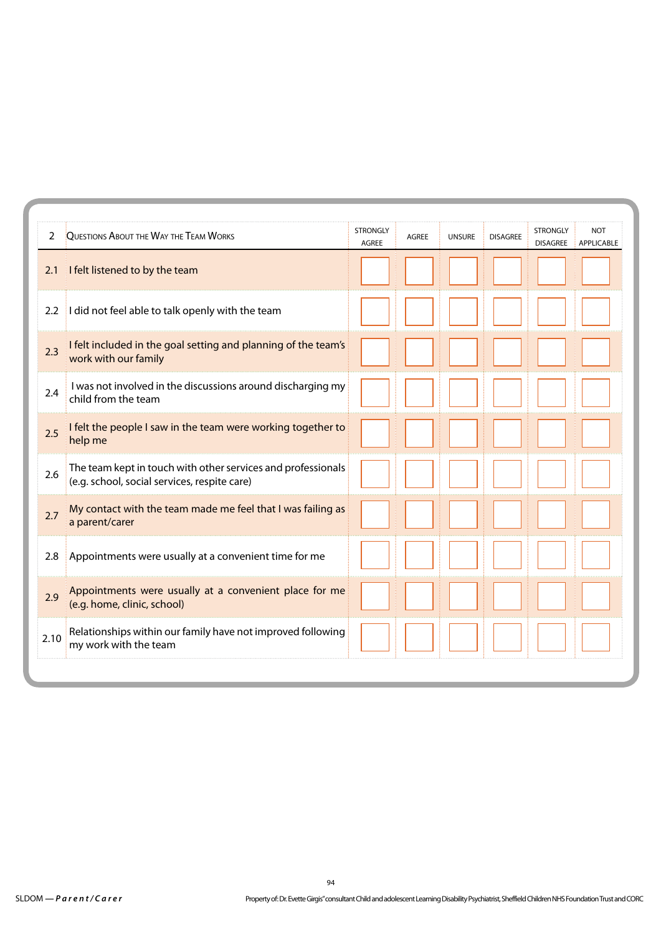| 2    | QUESTIONS ABOUT THE WAY THE TEAM WORKS                                                                       | <b>STRONGLY</b><br><b>AGREE</b> | <b>AGREE</b> | <b>UNSURE</b> | <b>DISAGREE</b> | <b>STRONGLY</b><br><b>DISAGREE</b> | <b>NOT</b><br><b>APPLICABLE</b> |
|------|--------------------------------------------------------------------------------------------------------------|---------------------------------|--------------|---------------|-----------------|------------------------------------|---------------------------------|
| 2.1  | I felt listened to by the team                                                                               |                                 |              |               |                 |                                    |                                 |
| 2.2  | I did not feel able to talk openly with the team                                                             |                                 |              |               |                 |                                    |                                 |
| 2.3  | I felt included in the goal setting and planning of the team's<br>work with our family                       |                                 |              |               |                 |                                    |                                 |
| 2.4  | I was not involved in the discussions around discharging my<br>child from the team                           |                                 |              |               |                 |                                    |                                 |
| 2.5  | I felt the people I saw in the team were working together to<br>help me                                      |                                 |              |               |                 |                                    |                                 |
| 2.6  | The team kept in touch with other services and professionals<br>(e.g. school, social services, respite care) |                                 |              |               |                 |                                    |                                 |
| 2.7  | My contact with the team made me feel that I was failing as<br>a parent/carer                                |                                 |              |               |                 |                                    |                                 |
| 2.8  | Appointments were usually at a convenient time for me                                                        |                                 |              |               |                 |                                    |                                 |
| 2.9  | Appointments were usually at a convenient place for me<br>(e.g. home, clinic, school)                        |                                 |              |               |                 |                                    |                                 |
| 2.10 | Relationships within our family have not improved following<br>my work with the team                         |                                 |              |               |                 |                                    |                                 |
|      |                                                                                                              |                                 |              |               |                 |                                    |                                 |